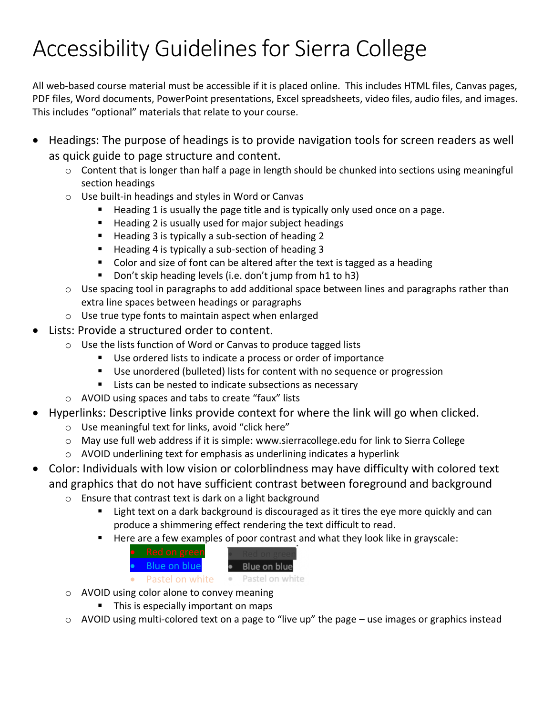## Accessibility Guidelines for Sierra College

All web-based course material must be accessible if it is placed online. This includes HTML files, Canvas pages, PDF files, Word documents, PowerPoint presentations, Excel spreadsheets, video files, audio files, and images. This includes "optional" materials that relate to your course.

- Headings: The purpose of headings is to provide navigation tools for screen readers as well as quick guide to page structure and content.
	- o Content that is longer than half a page in length should be chunked into sections using meaningful section headings
	- o Use built-in headings and styles in Word or Canvas
		- Heading 1 is usually the page title and is typically only used once on a page.
		- Heading 2 is usually used for major subject headings
		- Heading 3 is typically a sub-section of heading 2
		- Heading 4 is typically a sub-section of heading 3
		- Color and size of font can be altered after the text is tagged as a heading
		- Don't skip heading levels (i.e. don't jump from h1 to h3)
	- o Use spacing tool in paragraphs to add additional space between lines and paragraphs rather than extra line spaces between headings or paragraphs
	- o Use true type fonts to maintain aspect when enlarged
- Lists: Provide a structured order to content.
	- o Use the lists function of Word or Canvas to produce tagged lists
		- Use ordered lists to indicate a process or order of importance
		- Use unordered (bulleted) lists for content with no sequence or progression
		- Lists can be nested to indicate subsections as necessary
	- o AVOID using spaces and tabs to create "faux" lists
- Hyperlinks: Descriptive links provide context for where the link will go when clicked.
	- o Use meaningful text for links, avoid "click here"
	- o May use full web address if it is simple: [www.sierracollege.edu](http://www.sierracollege.edu/) for link to [Sierra College](http://www.sierracollege.edu/)
	- o AVOID underlining text for emphasis as underlining indicates a hyperlink
- Color: Individuals with low vision or colorblindness may have difficulty with colored text and graphics that do not have sufficient contrast between foreground and background
	- o Ensure that contrast text is dark on a light background
		- Light text on a dark background is discouraged as it tires the eye more quickly and can produce a shimmering effect rendering the text difficult to read.
		- Here are a few examples of poor contrast and what they look like in grayscale:

| • Red on green         |                 |
|------------------------|-----------------|
| $\bullet$ Blue on blue | Blue on blue    |
| Pastel on white        | Pastel on white |

o AVOID using color alone to convey meaning

- This is especially important on maps
- $\circ$  AVOID using multi-colored text on a page to "live up" the page use images or graphics instead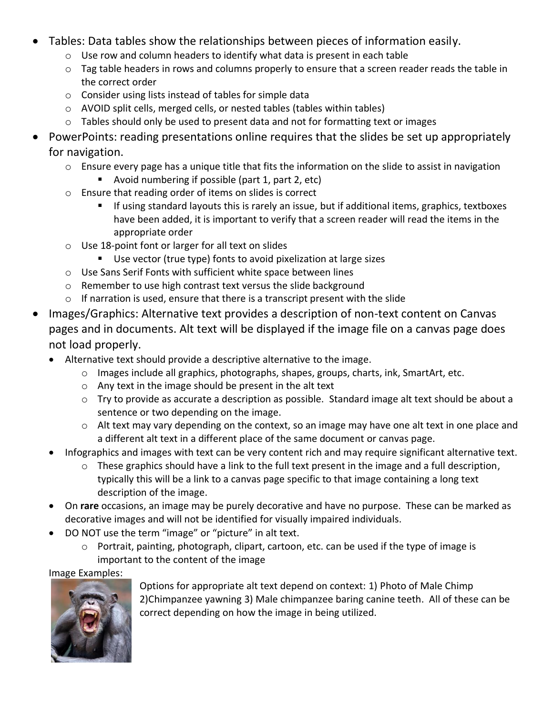- Tables: Data tables show the relationships between pieces of information easily.
	- o Use row and column headers to identify what data is present in each table
	- o Tag table headers in rows and columns properly to ensure that a screen reader reads the table in the correct order
	- o Consider using lists instead of tables for simple data
	- o AVOID split cells, merged cells, or nested tables (tables within tables)
	- o Tables should only be used to present data and not for formatting text or images
- PowerPoints: reading presentations online requires that the slides be set up appropriately for navigation.
	- o Ensure every page has a unique title that fits the information on the slide to assist in navigation
		- Avoid numbering if possible (part 1, part 2, etc)
	- o Ensure that reading order of items on slides is correct
		- If using standard layouts this is rarely an issue, but if additional items, graphics, textboxes have been added, it is important to verify that a screen reader will read the items in the appropriate order
	- o Use 18-point font or larger for all text on slides
		- Use vector (true type) fonts to avoid pixelization at large sizes
	- o Use Sans Serif Fonts with sufficient white space between lines
	- o Remember to use high contrast text versus the slide background
	- o If narration is used, ensure that there is a transcript present with the slide
- Images/Graphics: Alternative text provides a description of non-text content on Canvas pages and in documents. Alt text will be displayed if the image file on a canvas page does not load properly.
	- Alternative text should provide a descriptive alternative to the image.
		- o Images include all graphics, photographs, shapes, groups, charts, ink, SmartArt, etc.
		- o Any text in the image should be present in the alt text
		- o Try to provide as accurate a description as possible. Standard image alt text should be about a sentence or two depending on the image.
		- o Alt text may vary depending on the context, so an image may have one alt text in one place and a different alt text in a different place of the same document or canvas page.
	- Infographics and images with text can be very content rich and may require significant alternative text.
		- o These graphics should have a link to the full text present in the image and a full description, typically this will be a link to a canvas page specific to that image containing a long text description of the image.
	- On **rare** occasions, an image may be purely decorative and have no purpose. These can be marked as decorative images and will not be identified for visually impaired individuals.
	- DO NOT use the term "image" or "picture" in alt text.
		- o Portrait, painting, photograph, clipart, cartoon, etc. can be used if the type of image is important to the content of the image

Image Examples:



Options for appropriate alt text depend on context: 1) Photo of Male Chimp 2)Chimpanzee yawning 3) Male chimpanzee baring canine teeth. All of these can be correct depending on how the image in being utilized.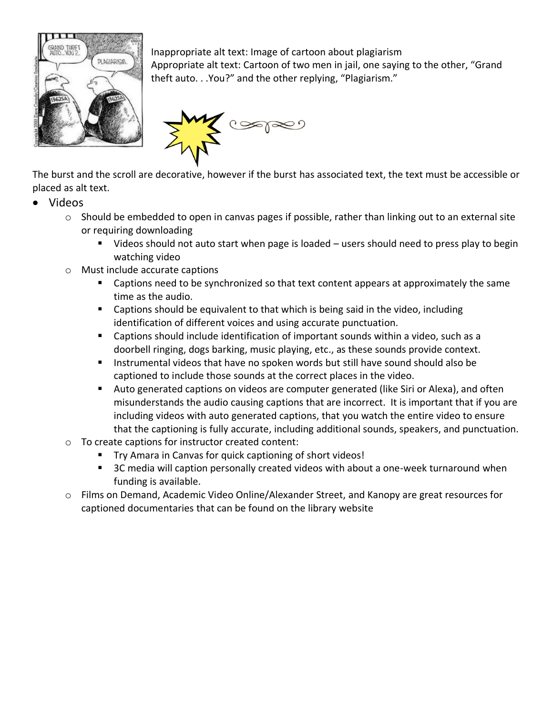

Inappropriate alt text: Image of cartoon about plagiarism Appropriate alt text: Cartoon of two men in jail, one saying to the other, "Grand theft auto. . .You?" and the other replying, "Plagiarism."



The burst and the scroll are decorative, however if the burst has associated text, the text must be accessible or placed as alt text.

- Videos
	- $\circ$  Should be embedded to open in canvas pages if possible, rather than linking out to an external site or requiring downloading
		- Videos should not auto start when page is loaded users should need to press play to begin watching video
	- o Must include accurate captions
		- Captions need to be synchronized so that text content appears at approximately the same time as the audio.
		- Captions should be equivalent to that which is being said in the video, including identification of different voices and using accurate punctuation.
		- Captions should include identification of important sounds within a video, such as a doorbell ringing, dogs barking, music playing, etc., as these sounds provide context.
		- Instrumental videos that have no spoken words but still have sound should also be captioned to include those sounds at the correct places in the video.
		- Auto generated captions on videos are computer generated (like Siri or Alexa), and often misunderstands the audio causing captions that are incorrect. It is important that if you are including videos with auto generated captions, that you watch the entire video to ensure that the captioning is fully accurate, including additional sounds, speakers, and punctuation.
	- o To create captions for instructor created content:
		- Try Amara in Canvas for quick captioning of short videos!
		- 3C media will caption personally created videos with about a one-week turnaround when funding is available.
	- o Films on Demand, Academic Video Online/Alexander Street, and Kanopy are great resources for captioned documentaries that can be found on the library website